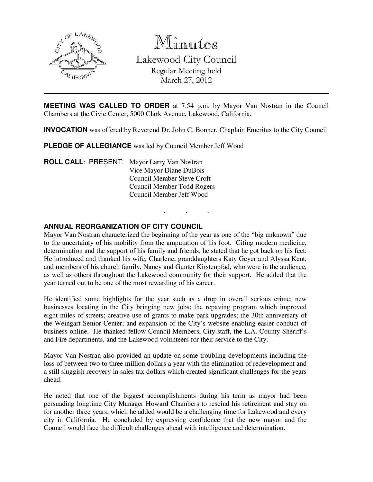

Minutes

Lakewood City Council Regular Meeting held March 27, 2012

**MEETING WAS CALLED TO ORDER** at 7:54 p.m. by Mayor Van Nostran in the Council Chambers at the Civic Center, 5000 Clark Avenue, Lakewood, California.

**INVOCATION** was offered by Reverend Dr. John C. Bonner, Chaplain Emeritus to the City Council

. . .

**PLEDGE OF ALLEGIANCE** was led by Council Member Jeff Wood

**ROLL CALL**: PRESENT: Mayor Larry Van Nostran Vice Mayor Diane DuBois Council Member Steve Croft Council Member Todd Rogers Council Member Jeff Wood

# **ANNUAL REORGANIZATION OF CITY COUNCIL**

Mayor Van Nostran characterized the beginning of the year as one of the "big unknown" due to the uncertainty of his mobility from the amputation of his foot. Citing modern medicine, determination and the support of his family and friends, he stated that he got back on his feet. He introduced and thanked his wife, Charlene, granddaughters Katy Geyer and Alyssa Kent, and members of his church family, Nancy and Gunter Kirstenpfad, who were in the audience, as well as others throughout the Lakewood community for their support. He added that the year turned out to be one of the most rewarding of his career.

He identified some highlights for the year such as a drop in overall serious crime; new businesses locating in the City bringing new jobs; the repaving program which improved eight miles of streets; creative use of grants to make park upgrades; the 30th anniversary of the Weingart Senior Center; and expansion of the City's website enabling easier conduct of business online. He thanked fellow Council Members, City staff, the L.A. County Sheriff's and Fire departments, and the Lakewood volunteers for their service to the City.

Mayor Van Nostran also provided an update on some troubling developments including the loss of between two to three million dollars a year with the elimination of redevelopment and a still sluggish recovery in sales tax dollars which created significant challenges for the years ahead.

He noted that one of the biggest accomplishments during his term as mayor had been persuading longtime City Manager Howard Chambers to rescind his retirement and stay on for another three years, which he added would be a challenging time for Lakewood and every city in California. He concluded by expressing confidence that the new mayor and the Council would face the difficult challenges ahead with intelligence and determination.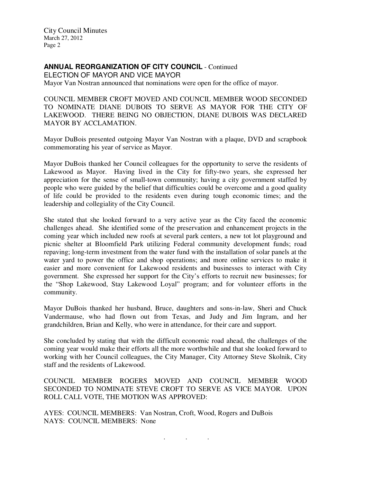## **ANNUAL REORGANIZATION OF CITY COUNCIL** - Continued

ELECTION OF MAYOR AND VICE MAYOR Mayor Van Nostran announced that nominations were open for the office of mayor.

COUNCIL MEMBER CROFT MOVED AND COUNCIL MEMBER WOOD SECONDED TO NOMINATE DIANE DUBOIS TO SERVE AS MAYOR FOR THE CITY OF LAKEWOOD. THERE BEING NO OBJECTION, DIANE DUBOIS WAS DECLARED MAYOR BY ACCLAMATION.

Mayor DuBois presented outgoing Mayor Van Nostran with a plaque, DVD and scrapbook commemorating his year of service as Mayor.

Mayor DuBois thanked her Council colleagues for the opportunity to serve the residents of Lakewood as Mayor. Having lived in the City for fifty-two years, she expressed her appreciation for the sense of small-town community; having a city government staffed by people who were guided by the belief that difficulties could be overcome and a good quality of life could be provided to the residents even during tough economic times; and the leadership and collegiality of the City Council.

She stated that she looked forward to a very active year as the City faced the economic challenges ahead. She identified some of the preservation and enhancement projects in the coming year which included new roofs at several park centers, a new tot lot playground and picnic shelter at Bloomfield Park utilizing Federal community development funds; road repaving; long-term investment from the water fund with the installation of solar panels at the water yard to power the office and shop operations; and more online services to make it easier and more convenient for Lakewood residents and businesses to interact with City government. She expressed her support for the City's efforts to recruit new businesses; for the "Shop Lakewood, Stay Lakewood Loyal" program; and for volunteer efforts in the community.

Mayor DuBois thanked her husband, Bruce, daughters and sons-in-law, Sheri and Chuck Vandermause, who had flown out from Texas, and Judy and Jim Ingram, and her grandchildren, Brian and Kelly, who were in attendance, for their care and support.

She concluded by stating that with the difficult economic road ahead, the challenges of the coming year would make their efforts all the more worthwhile and that she looked forward to working with her Council colleagues, the City Manager, City Attorney Steve Skolnik, City staff and the residents of Lakewood.

COUNCIL MEMBER ROGERS MOVED AND COUNCIL MEMBER WOOD SECONDED TO NOMINATE STEVE CROFT TO SERVE AS VICE MAYOR. UPON ROLL CALL VOTE, THE MOTION WAS APPROVED:

. . .

AYES: COUNCIL MEMBERS: Van Nostran, Croft, Wood, Rogers and DuBois NAYS: COUNCIL MEMBERS: None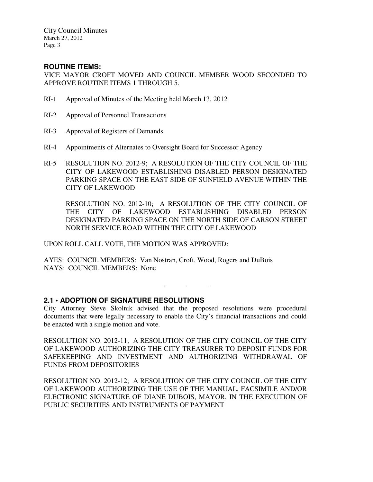# **ROUTINE ITEMS:**

VICE MAYOR CROFT MOVED AND COUNCIL MEMBER WOOD SECONDED TO APPROVE ROUTINE ITEMS 1 THROUGH 5.

- RI-1 Approval of Minutes of the Meeting held March 13, 2012
- RI-2 Approval of Personnel Transactions
- RI-3 Approval of Registers of Demands
- RI-4 Appointments of Alternates to Oversight Board for Successor Agency
- RI-5 RESOLUTION NO. 2012-9; A RESOLUTION OF THE CITY COUNCIL OF THE CITY OF LAKEWOOD ESTABLISHING DISABLED PERSON DESIGNATED PARKING SPACE ON THE EAST SIDE OF SUNFIELD AVENUE WITHIN THE CITY OF LAKEWOOD

 RESOLUTION NO. 2012-10; A RESOLUTION OF THE CITY COUNCIL OF THE CITY OF LAKEWOOD ESTABLISHING DISABLED PERSON DESIGNATED PARKING SPACE ON THE NORTH SIDE OF CARSON STREET NORTH SERVICE ROAD WITHIN THE CITY OF LAKEWOOD

. . .

UPON ROLL CALL VOTE, THE MOTION WAS APPROVED:

AYES: COUNCIL MEMBERS: Van Nostran, Croft, Wood, Rogers and DuBois NAYS: COUNCIL MEMBERS: None

#### **2.1 • ADOPTION OF SIGNATURE RESOLUTIONS**

City Attorney Steve Skolnik advised that the proposed resolutions were procedural documents that were legally necessary to enable the City's financial transactions and could be enacted with a single motion and vote.

RESOLUTION NO. 2012-11; A RESOLUTION OF THE CITY COUNCIL OF THE CITY OF LAKEWOOD AUTHORIZING THE CITY TREASURER TO DEPOSIT FUNDS FOR SAFEKEEPING AND INVESTMENT AND AUTHORIZING WITHDRAWAL OF FUNDS FROM DEPOSITORIES

RESOLUTION NO. 2012-12; A RESOLUTION OF THE CITY COUNCIL OF THE CITY OF LAKEWOOD AUTHORIZING THE USE OF THE MANUAL, FACSIMILE AND/OR ELECTRONIC SIGNATURE OF DIANE DUBOIS, MAYOR, IN THE EXECUTION OF PUBLIC SECURITIES AND INSTRUMENTS OF PAYMENT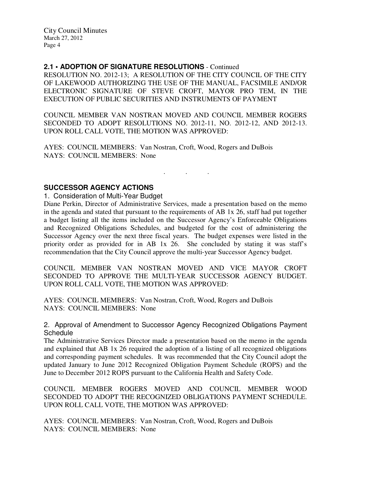## **2.1 • ADOPTION OF SIGNATURE RESOLUTIONS** - Continued

RESOLUTION NO. 2012-13; A RESOLUTION OF THE CITY COUNCIL OF THE CITY OF LAKEWOOD AUTHORIZING THE USE OF THE MANUAL, FACSIMILE AND/OR ELECTRONIC SIGNATURE OF STEVE CROFT, MAYOR PRO TEM, IN THE EXECUTION OF PUBLIC SECURITIES AND INSTRUMENTS OF PAYMENT

COUNCIL MEMBER VAN NOSTRAN MOVED AND COUNCIL MEMBER ROGERS SECONDED TO ADOPT RESOLUTIONS NO. 2012-11, NO. 2012-12, AND 2012-13. UPON ROLL CALL VOTE, THE MOTION WAS APPROVED:

. . .

AYES: COUNCIL MEMBERS: Van Nostran, Croft, Wood, Rogers and DuBois NAYS: COUNCIL MEMBERS: None

#### **SUCCESSOR AGENCY ACTIONS**

1. Consideration of Multi-Year Budget

Diane Perkin, Director of Administrative Services, made a presentation based on the memo in the agenda and stated that pursuant to the requirements of AB 1x 26, staff had put together a budget listing all the items included on the Successor Agency's Enforceable Obligations and Recognized Obligations Schedules, and budgeted for the cost of administering the Successor Agency over the next three fiscal years. The budget expenses were listed in the priority order as provided for in AB 1x 26. She concluded by stating it was staff's recommendation that the City Council approve the multi-year Successor Agency budget.

COUNCIL MEMBER VAN NOSTRAN MOVED AND VICE MAYOR CROFT SECONDED TO APPROVE THE MULTI-YEAR SUCCESSOR AGENCY BUDGET. UPON ROLL CALL VOTE, THE MOTION WAS APPROVED:

AYES: COUNCIL MEMBERS: Van Nostran, Croft, Wood, Rogers and DuBois NAYS: COUNCIL MEMBERS: None

2. Approval of Amendment to Successor Agency Recognized Obligations Payment **Schedule** 

The Administrative Services Director made a presentation based on the memo in the agenda and explained that AB 1x 26 required the adoption of a listing of all recognized obligations and corresponding payment schedules. It was recommended that the City Council adopt the updated January to June 2012 Recognized Obligation Payment Schedule (ROPS) and the June to December 2012 ROPS pursuant to the California Health and Safety Code.

COUNCIL MEMBER ROGERS MOVED AND COUNCIL MEMBER WOOD SECONDED TO ADOPT THE RECOGNIZED OBLIGATIONS PAYMENT SCHEDULE. UPON ROLL CALL VOTE, THE MOTION WAS APPROVED:

AYES: COUNCIL MEMBERS: Van Nostran, Croft, Wood, Rogers and DuBois NAYS: COUNCIL MEMBERS: None